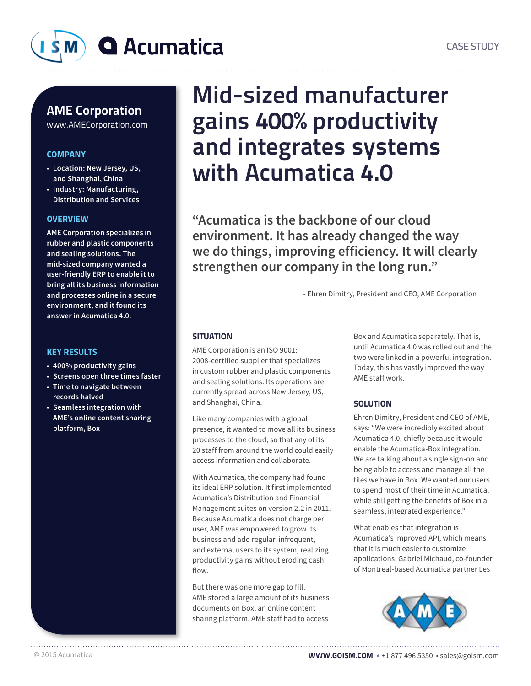

### AME Corporation

www.AMECorporation.com

### **COMPANY**

- **Location: New Jersey, US, and Shanghai, China**
- **Industry: Manufacturing, Distribution and Services**

### **OVERVIEW**

**AME Corporation specializes in rubber and plastic components and sealing solutions. The mid-sized company wanted a user-friendly ERP to enable it to bring all its business information and processes online in a secure environment, and it found its answer in Acumatica 4.0.** 

### KEY RESULTS

- **400% productivity gains**
- **Screens open three times faster**
- **Time to navigate between records halved**
- **Seamless integration with AME's online content sharing platform, Box**

## Mid-sized manufacturer gains 400% productivity and integrates systems with Acumatica 4.0

**"Acumatica is the backbone of our cloud environment. It has already changed the way we do things, improving efficiency. It will clearly strengthen our company in the long run."**

- Ehren Dimitry, President and CEO, AME Corporation

### **SITUATION**

AME Corporation is an ISO 9001: 2008-certified supplier that specializes in custom rubber and plastic components and sealing solutions. Its operations are currently spread across New Jersey, US, and Shanghai, China.

Like many companies with a global presence, it wanted to move all its business processes to the cloud, so that any of its 20 staff from around the world could easily access information and collaborate.

With Acumatica, the company had found its ideal ERP solution. It first implemented Acumatica's Distribution and Financial Management suites on version 2.2 in 2011. Because Acumatica does not charge per user, AME was empowered to grow its business and add regular, infrequent, and external users to its system, realizing productivity gains without eroding cash flow.

But there was one more gap to fill. AME stored a large amount of its business documents on Box, an online content sharing platform. AME staff had to access

Box and Acumatica separately. That is, until Acumatica 4.0 was rolled out and the two were linked in a powerful integration. Today, this has vastly improved the way AME staff work.

### **SOLUTION**

Ehren Dimitry, President and CEO of AME, says: "We were incredibly excited about Acumatica 4.0, chiefly because it would enable the Acumatica-Box integration. We are talking about a single sign-on and being able to access and manage all the files we have in Box. We wanted our users to spend most of their time in Acumatica, while still getting the benefits of Box in a seamless, integrated experience."

What enables that integration is Acumatica's improved API, which means that it is much easier to customize applications. Gabriel Michaud, co-founder of Montreal-based Acumatica partner Les